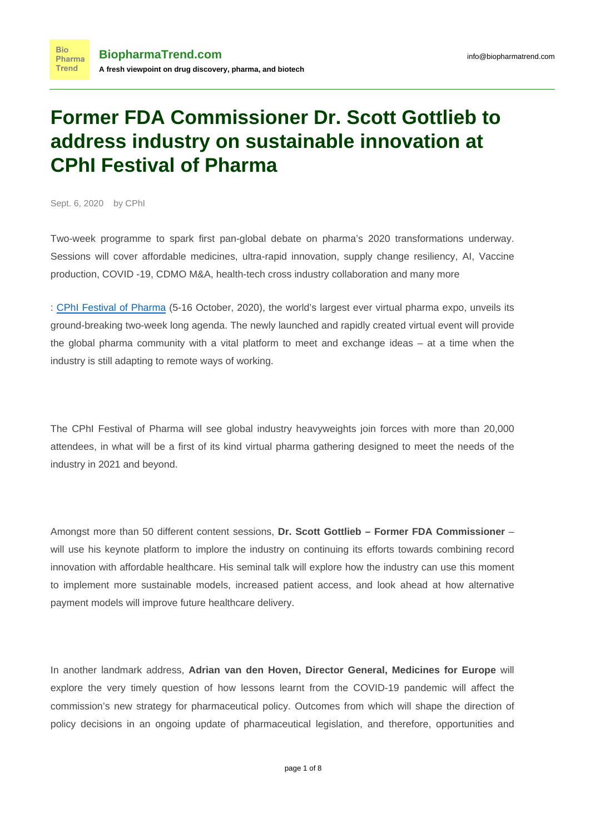# **Former FDA Commissioner Dr. Scott Gottlieb to address industry on sustainable innovation at CPhI Festival of Pharma**

Sept. 6, 2020 by CPhI

**Bio** 

Two-week programme to spark first pan-global debate on pharma's 2020 transformations underway. Sessions will cover affordable medicines, ultra-rapid innovation, supply change resiliency, AI, Vaccine production, COVID -19, CDMO M&A, health-tech cross industry collaboration and many more

: [CPhI Festival of Pharma](http://www.festivalofpharma.com/) (5-16 October, 2020), the world's largest ever virtual pharma expo, unveils its ground-breaking two-week long agenda. The newly launched and rapidly created virtual event will provide the global pharma community with a vital platform to meet and exchange ideas – at a time when the industry is still adapting to remote ways of working.

The CPhI Festival of Pharma will see global industry heavyweights join forces with more than 20,000 attendees, in what will be a first of its kind virtual pharma gathering designed to meet the needs of the industry in 2021 and beyond.

Amongst more than 50 different content sessions, **Dr. Scott Gottlieb – Former FDA Commissioner** – will use his keynote platform to implore the industry on continuing its efforts towards combining record innovation with affordable healthcare. His seminal talk will explore how the industry can use this moment to implement more sustainable models, increased patient access, and look ahead at how alternative payment models will improve future healthcare delivery.

In another landmark address, **Adrian van den Hoven, Director General, Medicines for Europe** will explore the very timely question of how lessons learnt from the COVID-19 pandemic will affect the commission's new strategy for pharmaceutical policy. Outcomes from which will shape the direction of policy decisions in an ongoing update of pharmaceutical legislation, and therefore, opportunities and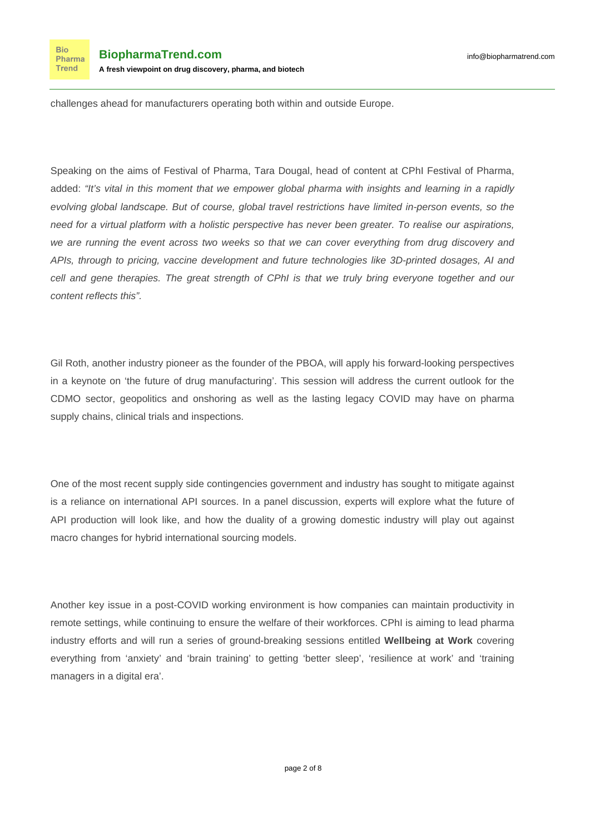**Bio** Pharma **Trend** 

challenges ahead for manufacturers operating both within and outside Europe.

Speaking on the aims of Festival of Pharma, Tara Dougal, head of content at CPhI Festival of Pharma, added: "It's vital in this moment that we empower global pharma with insights and learning in a rapidly evolving global landscape. But of course, global travel restrictions have limited in-person events, so the need for a virtual platform with a holistic perspective has never been greater. To realise our aspirations, we are running the event across two weeks so that we can cover everything from drug discovery and APIs, through to pricing, vaccine development and future technologies like 3D-printed dosages, AI and cell and gene therapies. The great strength of CPhI is that we truly bring everyone together and our content reflects this".

Gil Roth, another industry pioneer as the founder of the PBOA, will apply his forward-looking perspectives in a keynote on 'the future of drug manufacturing'. This session will address the current outlook for the CDMO sector, geopolitics and onshoring as well as the lasting legacy COVID may have on pharma supply chains, clinical trials and inspections.

One of the most recent supply side contingencies government and industry has sought to mitigate against is a reliance on international API sources. In a panel discussion, experts will explore what the future of API production will look like, and how the duality of a growing domestic industry will play out against macro changes for hybrid international sourcing models.

Another key issue in a post-COVID working environment is how companies can maintain productivity in remote settings, while continuing to ensure the welfare of their workforces. CPhI is aiming to lead pharma industry efforts and will run a series of ground-breaking sessions entitled **Wellbeing at Work** covering everything from 'anxiety' and 'brain training' to getting 'better sleep', 'resilience at work' and 'training managers in a digital era'.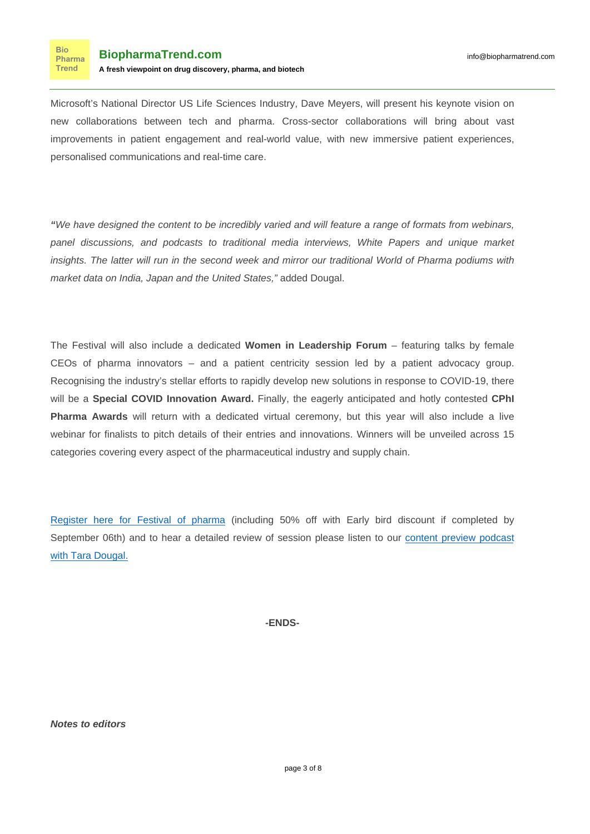Microsoft's National Director US Life Sciences Industry, Dave Meyers, will present his keynote vision on new collaborations between tech and pharma. Cross-sector collaborations will bring about vast improvements in patient engagement and real-world value, with new immersive patient experiences, personalised communications and real-time care.

**"**We have designed the content to be incredibly varied and will feature a range of formats from webinars, panel discussions, and podcasts to traditional media interviews, White Papers and unique market insights. The latter will run in the second week and mirror our traditional World of Pharma podiums with market data on India, Japan and the United States," added Dougal.

The Festival will also include a dedicated **Women in Leadership Forum** – featuring talks by female CEOs of pharma innovators – and a patient centricity session led by a patient advocacy group. Recognising the industry's stellar efforts to rapidly develop new solutions in response to COVID-19, there will be a **Special COVID Innovation Award.** Finally, the eagerly anticipated and hotly contested **CPhI Pharma Awards** will return with a dedicated virtual ceremony, but this year will also include a live webinar for finalists to pitch details of their entries and innovations. Winners will be unveiled across 15 categories covering every aspect of the pharmaceutical industry and supply chain.

[Register here for Festival of pharma](https://www.cphi.com/festival-of-pharma/en/keep-me-informed.html) (including 50% off with Early bird discount if completed by September 06th) and to hear a detailed review of session please listen to our [content preview podcast](https://www.globalpharmainsights.com/podcasts/former-fda-commissioner-dr-scott-gottlieb-address-industry-sustainable-innovation-cphi) [with Tara Dougal.](https://www.globalpharmainsights.com/podcasts/former-fda-commissioner-dr-scott-gottlieb-address-industry-sustainable-innovation-cphi)

**-ENDS-**

**Notes to editors**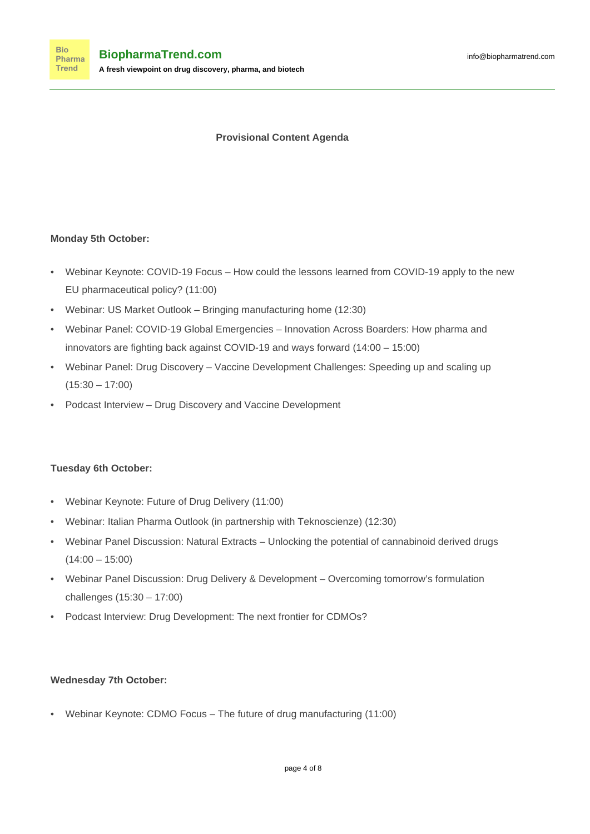## **Provisional Content Agenda**

## **Monday 5th October:**

- Webinar Keynote: COVID-19 Focus How could the lessons learned from COVID-19 apply to the new EU pharmaceutical policy? (11:00)
- Webinar: US Market Outlook Bringing manufacturing home (12:30)
- Webinar Panel: COVID-19 Global Emergencies Innovation Across Boarders: How pharma and innovators are fighting back against COVID-19 and ways forward (14:00 – 15:00)
- Webinar Panel: Drug Discovery Vaccine Development Challenges: Speeding up and scaling up  $(15:30 - 17:00)$
- Podcast Interview Drug Discovery and Vaccine Development

#### **Tuesday 6th October:**

- Webinar Keynote: Future of Drug Delivery (11:00)
- Webinar: Italian Pharma Outlook (in partnership with Teknoscienze) (12:30)
- Webinar Panel Discussion: Natural Extracts Unlocking the potential of cannabinoid derived drugs  $(14:00 - 15:00)$
- Webinar Panel Discussion: Drug Delivery & Development Overcoming tomorrow's formulation challenges (15:30 – 17:00)
- Podcast Interview: Drug Development: The next frontier for CDMOs?

#### **Wednesday 7th October:**

• Webinar Keynote: CDMO Focus – The future of drug manufacturing (11:00)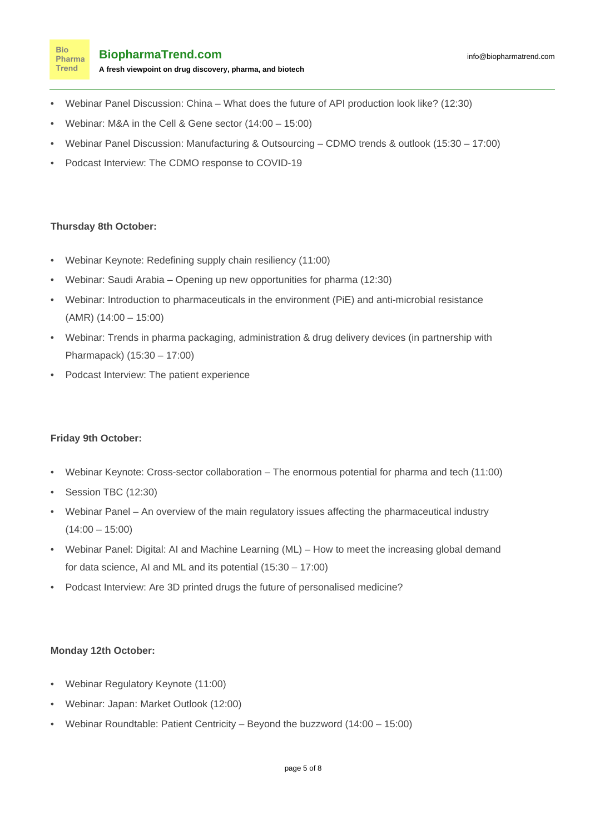- Webinar Panel Discussion: China What does the future of API production look like? (12:30)
- Webinar: M&A in the Cell & Gene sector (14:00 15:00)
- Webinar Panel Discussion: Manufacturing & Outsourcing CDMO trends & outlook (15:30 17:00)
- Podcast Interview: The CDMO response to COVID-19

## **Thursday 8th October:**

**Bio** Pharma **Trend** 

- Webinar Keynote: Redefining supply chain resiliency (11:00)
- Webinar: Saudi Arabia Opening up new opportunities for pharma (12:30)
- Webinar: Introduction to pharmaceuticals in the environment (PiE) and anti-microbial resistance (AMR) (14:00 – 15:00)
- Webinar: Trends in pharma packaging, administration & drug delivery devices (in partnership with Pharmapack) (15:30 – 17:00)
- Podcast Interview: The patient experience

#### **Friday 9th October:**

- Webinar Keynote: Cross-sector collaboration The enormous potential for pharma and tech (11:00)
- Session TBC (12:30)
- Webinar Panel An overview of the main regulatory issues affecting the pharmaceutical industry  $(14:00 - 15:00)$
- Webinar Panel: Digital: AI and Machine Learning (ML) How to meet the increasing global demand for data science, AI and ML and its potential (15:30 – 17:00)
- Podcast Interview: Are 3D printed drugs the future of personalised medicine?

#### **Monday 12th October:**

- Webinar Regulatory Keynote (11:00)
- Webinar: Japan: Market Outlook (12:00)
- Webinar Roundtable: Patient Centricity Beyond the buzzword (14:00 15:00)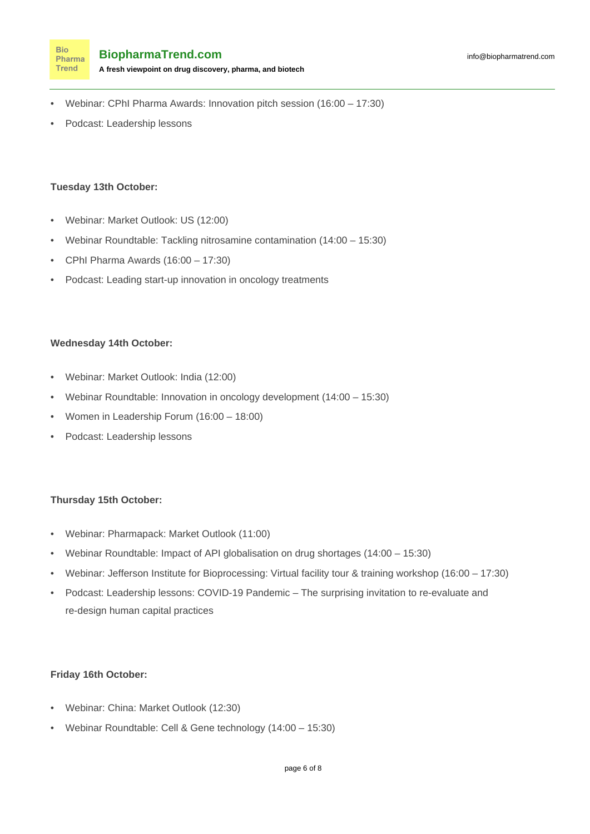- Webinar: CPhI Pharma Awards: Innovation pitch session (16:00 17:30)
- Podcast: Leadership lessons

#### **Tuesday 13th October:**

- Webinar: Market Outlook: US (12:00)
- Webinar Roundtable: Tackling nitrosamine contamination (14:00 15:30)
- CPhI Pharma Awards (16:00 17:30)
- Podcast: Leading start-up innovation in oncology treatments

#### **Wednesday 14th October:**

- Webinar: Market Outlook: India (12:00)
- Webinar Roundtable: Innovation in oncology development (14:00 15:30)
- Women in Leadership Forum (16:00 18:00)
- Podcast: Leadership lessons

#### **Thursday 15th October:**

- Webinar: Pharmapack: Market Outlook (11:00)
- Webinar Roundtable: Impact of API globalisation on drug shortages (14:00 15:30)
- Webinar: Jefferson Institute for Bioprocessing: Virtual facility tour & training workshop (16:00 17:30)
- Podcast: Leadership lessons: COVID-19 Pandemic The surprising invitation to re-evaluate and re-design human capital practices

#### **Friday 16th October:**

- Webinar: China: Market Outlook (12:30)
- Webinar Roundtable: Cell & Gene technology (14:00 15:30)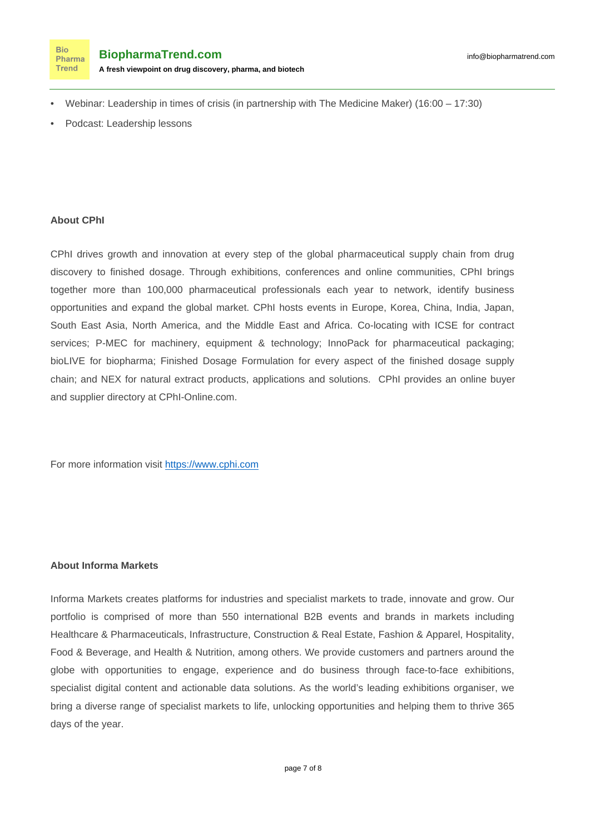

- Webinar: Leadership in times of crisis (in partnership with The Medicine Maker) (16:00 17:30)
- Podcast: Leadership lessons

#### **About CPhI**

CPhI drives growth and innovation at every step of the global pharmaceutical supply chain from drug discovery to finished dosage. Through exhibitions, conferences and online communities, CPhI brings together more than 100,000 pharmaceutical professionals each year to network, identify business opportunities and expand the global market. CPhI hosts events in Europe, Korea, China, India, Japan, South East Asia, North America, and the Middle East and Africa. Co-locating with ICSE for contract services; P-MEC for machinery, equipment & technology; InnoPack for pharmaceutical packaging; bioLIVE for biopharma; Finished Dosage Formulation for every aspect of the finished dosage supply chain; and NEX for natural extract products, applications and solutions. CPhI provides an online buyer and supplier directory at CPhI-Online.com.

For more information visit [https://www.cphi.com](https://www.cphi.com/)

#### **About Informa Markets**

Informa Markets creates platforms for industries and specialist markets to trade, innovate and grow. Our portfolio is comprised of more than 550 international B2B events and brands in markets including Healthcare & Pharmaceuticals, Infrastructure, Construction & Real Estate, Fashion & Apparel, Hospitality, Food & Beverage, and Health & Nutrition, among others. We provide customers and partners around the globe with opportunities to engage, experience and do business through face-to-face exhibitions, specialist digital content and actionable data solutions. As the world's leading exhibitions organiser, we bring a diverse range of specialist markets to life, unlocking opportunities and helping them to thrive 365 days of the year.